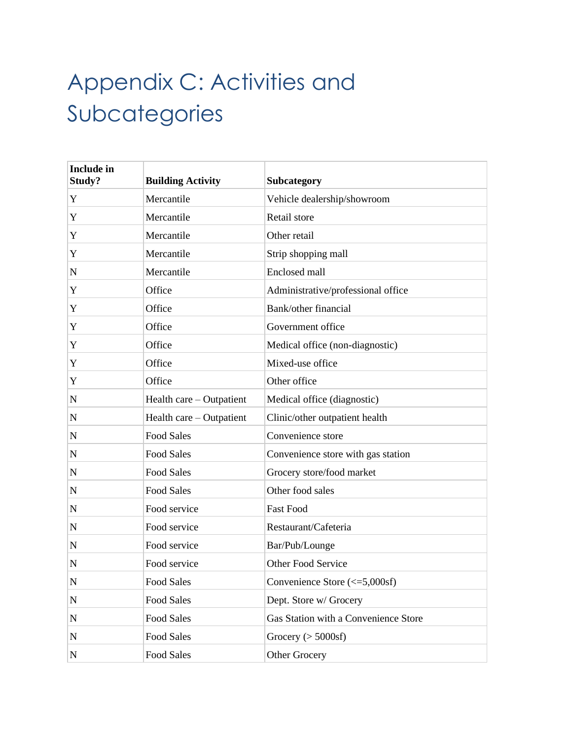## Appendix C: Activities and Subcategories

| <b>Include in</b><br>Study? | <b>Building Activity</b> | Subcategory                          |
|-----------------------------|--------------------------|--------------------------------------|
| Y                           | Mercantile               | Vehicle dealership/showroom          |
| Y                           | Mercantile               | Retail store                         |
| Y                           | Mercantile               | Other retail                         |
| Y                           | Mercantile               | Strip shopping mall                  |
| ${\bf N}$                   | Mercantile               | Enclosed mall                        |
| Y                           | Office                   | Administrative/professional office   |
| Y                           | Office                   | Bank/other financial                 |
| Y                           | Office                   | Government office                    |
| Y                           | Office                   | Medical office (non-diagnostic)      |
| Y                           | Office                   | Mixed-use office                     |
| Y                           | Office                   | Other office                         |
| $\mathbf N$                 | Health care – Outpatient | Medical office (diagnostic)          |
| ${\bf N}$                   | Health care – Outpatient | Clinic/other outpatient health       |
| $\mathbf N$                 | <b>Food Sales</b>        | Convenience store                    |
| $\mathbf N$                 | <b>Food Sales</b>        | Convenience store with gas station   |
| $\mathbf N$                 | <b>Food Sales</b>        | Grocery store/food market            |
| $\mathbf N$                 | <b>Food Sales</b>        | Other food sales                     |
| $\mathbf N$                 | Food service             | <b>Fast Food</b>                     |
| N                           | Food service             | Restaurant/Cafeteria                 |
| $\mathbf N$                 | Food service             | Bar/Pub/Lounge                       |
| $\mathbf N$                 | Food service             | Other Food Service                   |
| ${\bf N}$                   | <b>Food Sales</b>        | Convenience Store (<= 5,000sf)       |
| ${\bf N}$                   | Food Sales               | Dept. Store w/ Grocery               |
| N                           | Food Sales               | Gas Station with a Convenience Store |
| ${\bf N}$                   | Food Sales               | Grocery ( $>$ 5000sf)                |
| ${\bf N}$                   | Food Sales               | Other Grocery                        |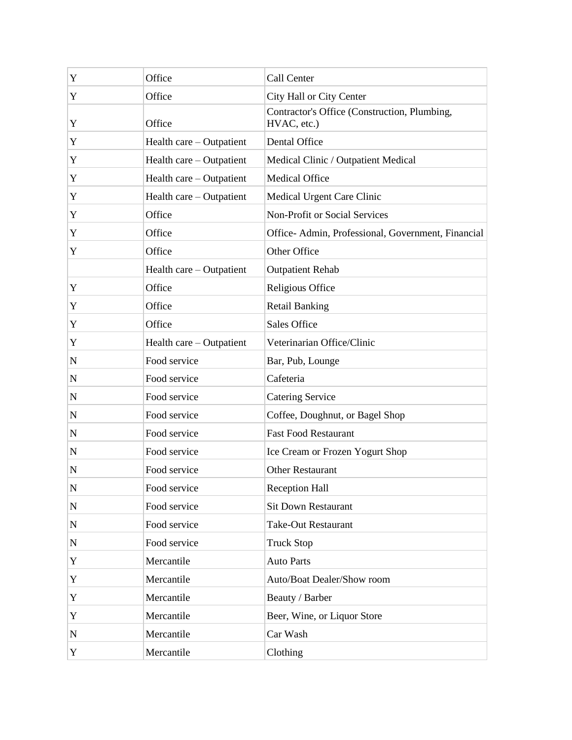| Y           | Office                   | Call Center                                                 |
|-------------|--------------------------|-------------------------------------------------------------|
| Y           | Office                   | City Hall or City Center                                    |
| Y           | Office                   | Contractor's Office (Construction, Plumbing,<br>HVAC, etc.) |
| Y           | Health care – Outpatient | Dental Office                                               |
| Y           | Health care – Outpatient | Medical Clinic / Outpatient Medical                         |
| Y           | Health care – Outpatient | <b>Medical Office</b>                                       |
| Y           | Health care – Outpatient | Medical Urgent Care Clinic                                  |
| Y           | Office                   | Non-Profit or Social Services                               |
| Y           | Office                   | Office- Admin, Professional, Government, Financial          |
| Y           | Office                   | Other Office                                                |
|             | Health care – Outpatient | <b>Outpatient Rehab</b>                                     |
| Y           | Office                   | Religious Office                                            |
| Y           | Office                   | <b>Retail Banking</b>                                       |
| Y           | Office                   | Sales Office                                                |
| Y           | Health care – Outpatient | Veterinarian Office/Clinic                                  |
| ${\bf N}$   | Food service             | Bar, Pub, Lounge                                            |
| ${\bf N}$   | Food service             | Cafeteria                                                   |
| ${\bf N}$   | Food service             | <b>Catering Service</b>                                     |
| ${\bf N}$   | Food service             | Coffee, Doughnut, or Bagel Shop                             |
| $\mathbf N$ | Food service             | <b>Fast Food Restaurant</b>                                 |
| N           | Food service             | Ice Cream or Frozen Yogurt Shop                             |
| ${\bf N}$   | Food service             | Other Restaurant                                            |
| ${\bf N}$   | Food service             | <b>Reception Hall</b>                                       |
| ${\bf N}$   | Food service             | <b>Sit Down Restaurant</b>                                  |
| ${\bf N}$   | Food service             | <b>Take-Out Restaurant</b>                                  |
| ${\bf N}$   | Food service             | <b>Truck Stop</b>                                           |
| Y           | Mercantile               | <b>Auto Parts</b>                                           |
| Y           | Mercantile               | Auto/Boat Dealer/Show room                                  |
| Y           | Mercantile               | Beauty / Barber                                             |
| Y           | Mercantile               | Beer, Wine, or Liquor Store                                 |
| ${\bf N}$   | Mercantile               | Car Wash                                                    |
| Y           | Mercantile               | Clothing                                                    |